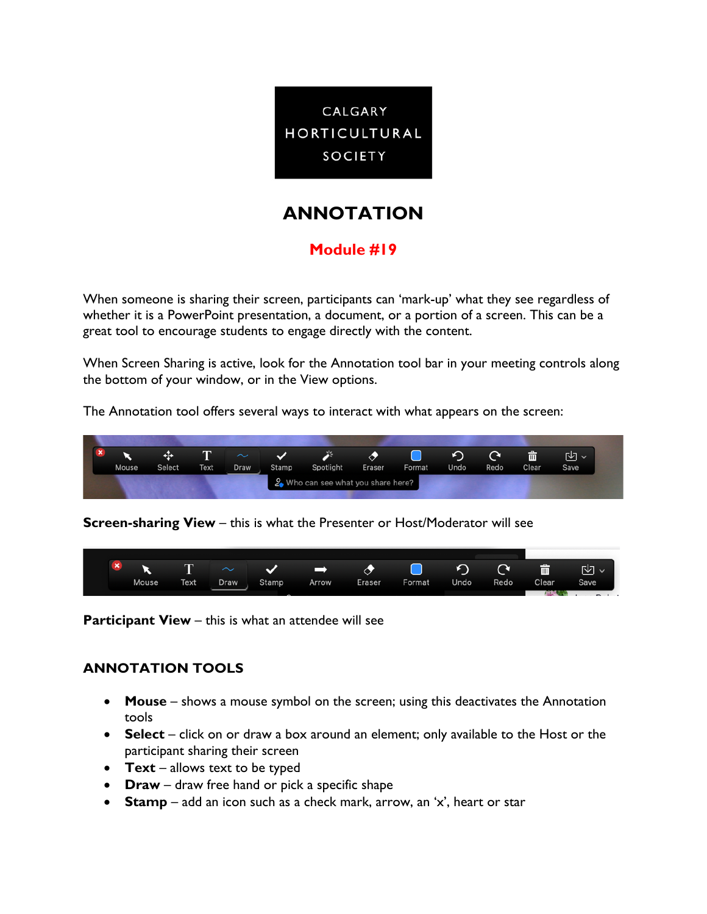

# **ANNOTATION**

## **Module #19**

When someone is sharing their screen, participants can 'mark-up' what they see regardless of whether it is a PowerPoint presentation, a document, or a portion of a screen. This can be a great tool to encourage students to engage directly with the content.

When Screen Sharing is active, look for the Annotation tool bar in your meeting controls along the bottom of your window, or in the View options.

The Annotation tool offers several ways to interact with what appears on the screen:



**Screen-sharing View** – this is what the Presenter or Host/Moderator will see



**Participant View** – this is what an attendee will see

### **ANNOTATION TOOLS**

- **Mouse** shows a mouse symbol on the screen; using this deactivates the Annotation tools
- **Select** click on or draw a box around an element; only available to the Host or the participant sharing their screen
- **Text** allows text to be typed
- **Draw** draw free hand or pick a specific shape
- **Stamp** add an icon such as a check mark, arrow, an 'x', heart or star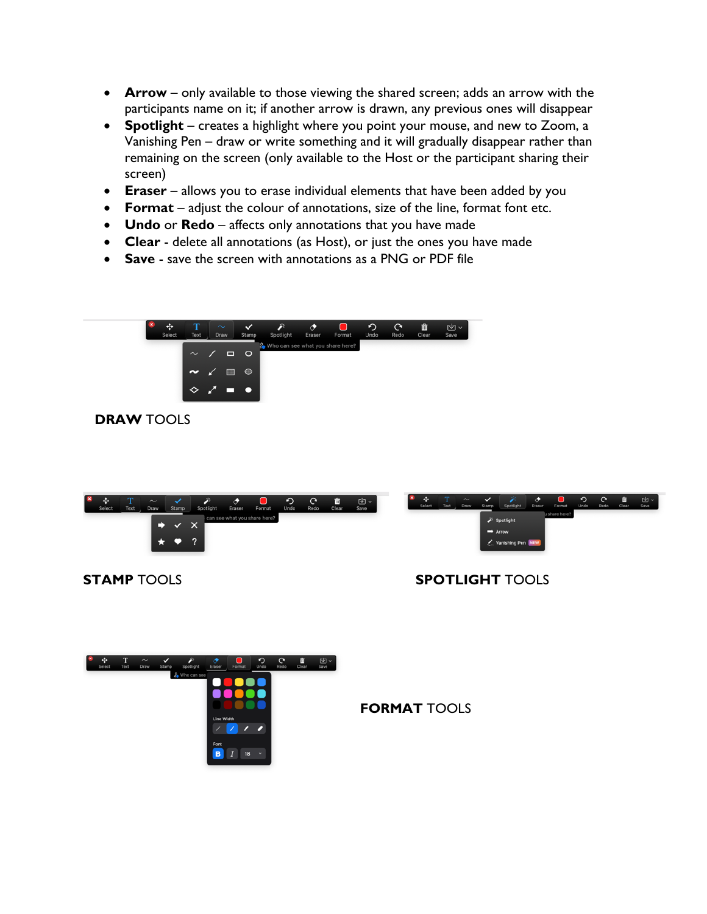- **Arrow**  only available to those viewing the shared screen; adds an arrow with the participants name on it; if another arrow is drawn, any previous ones will disappear
- **Spotlight** creates a highlight where you point your mouse, and new to Zoom, a Vanishing Pen – draw or write something and it will gradually disappear rather than remaining on the screen (only available to the Host or the participant sharing their screen)
- **Eraser** allows you to erase individual elements that have been added by you
- **Format** adjust the colour of annotations, size of the line, format font etc.
- **Undo** or **Redo** affects only annotations that you have made
- **Clear** delete all annotations (as Host), or just the ones you have made
- **Save** save the screen with annotations as a PNG or PDF file



### **DRAW** TOOLS



### **STAMP** TOOLS **SPOTLIGHT** TOOLS



**FORMAT** TOOLS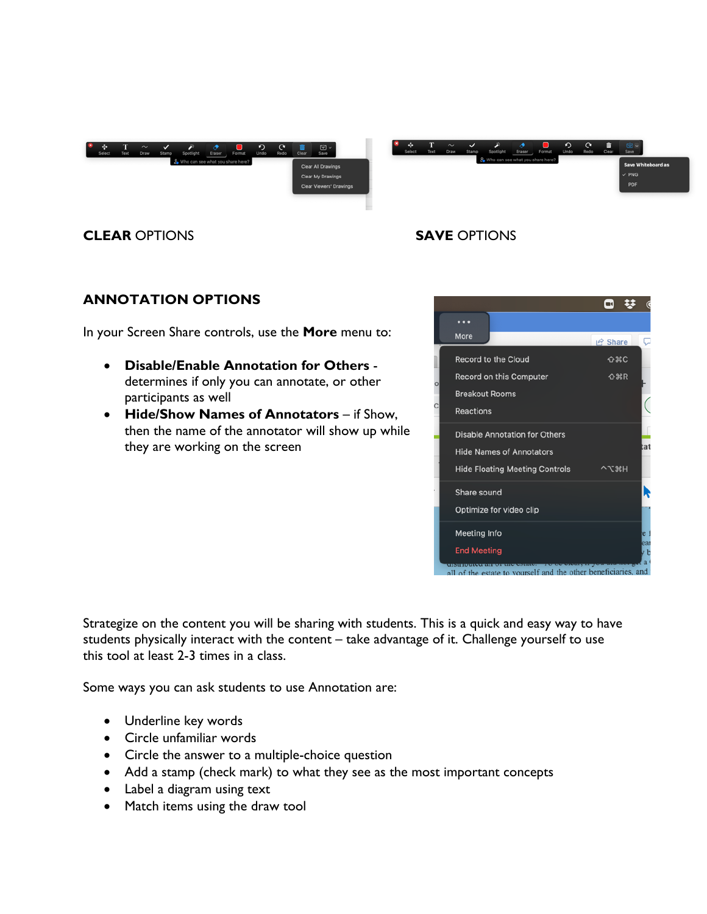



### **CLEAR** OPTIONS **SAVE** OPTIONS

### **ANNOTATION OPTIONS**

In your Screen Share controls, use the **More** menu to:

- **Disable/Enable Annotation for Others** determines if only you can annotate, or other participants as well
- **Hide/Show Names of Annotators** if Show, then the name of the annotator will show up while they are working on the screen



Strategize on the content you will be sharing with students. This is a quick and easy way to have students physically interact with the content – take advantage of it. Challenge yourself to use this tool at least 2-3 times in a class.

Some ways you can ask students to use Annotation are:

- Underline key words
- Circle unfamiliar words
- Circle the answer to a multiple-choice question
- Add a stamp (check mark) to what they see as the most important concepts
- Label a diagram using text
- Match items using the draw tool